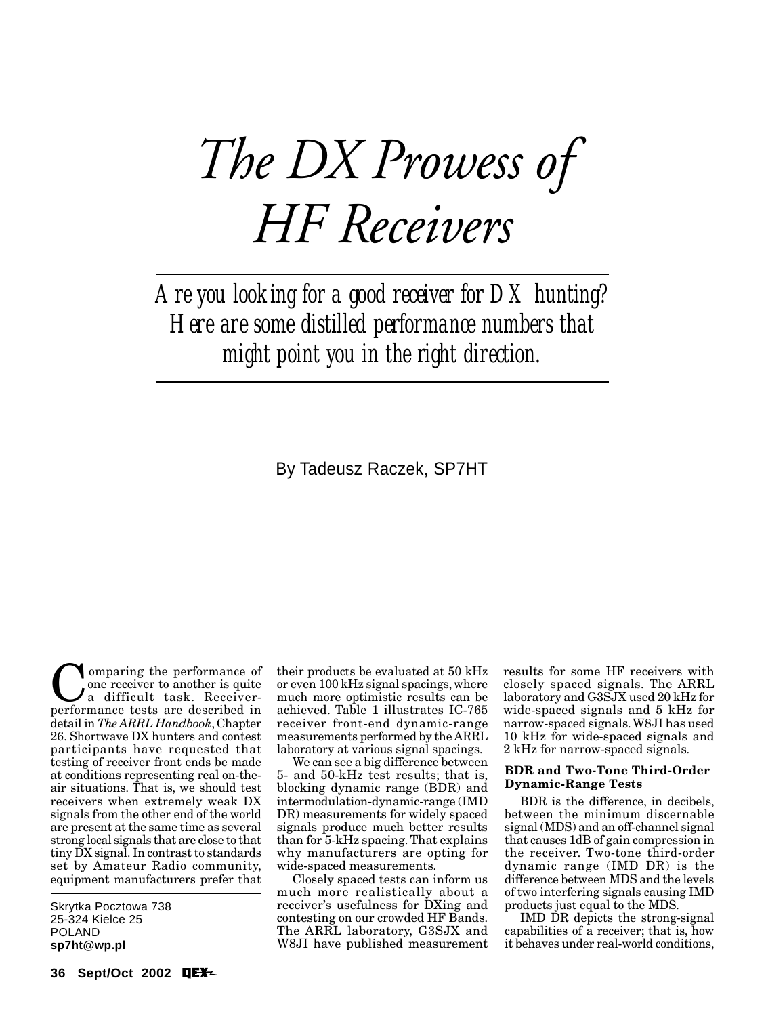# *The DX Prowess of HF Receivers*

*Are you looking for a good receiver for DX hunting? Here are some distilled performance numbers that might point you in the right direction.*

By Tadeusz Raczek, SP7HT

Comparing the performance of<br>
a difficult task. Receiver-<br>
performance tests are described in one receiver to another is quite a difficult task. Receiverperformance tests are described in detail in *The ARRL Handbook*, Chapter 26. Shortwave DX hunters and contest participants have requested that testing of receiver front ends be made at conditions representing real on-theair situations. That is, we should test receivers when extremely weak DX signals from the other end of the world are present at the same time as several strong local signals that are close to that tiny DX signal. In contrast to standards set by Amateur Radio community, equipment manufacturers prefer that

Skrytka Pocztowa 738 25-324 Kielce 25 POLAND **sp7ht@wp.pl**

their products be evaluated at 50 kHz or even 100 kHz signal spacings, where much more optimistic results can be achieved. Table 1 illustrates IC-765 receiver front-end dynamic-range measurements performed by the ARRL laboratory at various signal spacings.

We can see a big difference between 5- and 50-kHz test results; that is, blocking dynamic range (BDR) and intermodulation-dynamic-range (IMD DR) measurements for widely spaced signals produce much better results than for 5-kHz spacing. That explains why manufacturers are opting for wide-spaced measurements.

Closely spaced tests can inform us much more realistically about a receiver's usefulness for DXing and contesting on our crowded HF Bands. The ARRL laboratory, G3SJX and W8JI have published measurement results for some HF receivers with closely spaced signals. The ARRL laboratory and G3SJX used 20 kHz for wide-spaced signals and 5 kHz for narrow-spaced signals. W8JI has used 10 kHz for wide-spaced signals and 2 kHz for narrow-spaced signals.

## **BDR and Two-Tone Third-Order Dynamic-Range Tests**

BDR is the difference, in decibels, between the minimum discernable signal (MDS) and an off-channel signal that causes 1dB of gain compression in the receiver. Two-tone third-order dynamic range (IMD DR) is the difference between MDS and the levels of two interfering signals causing IMD products just equal to the MDS.

IMD DR depicts the strong-signal capabilities of a receiver; that is, how it behaves under real-world conditions,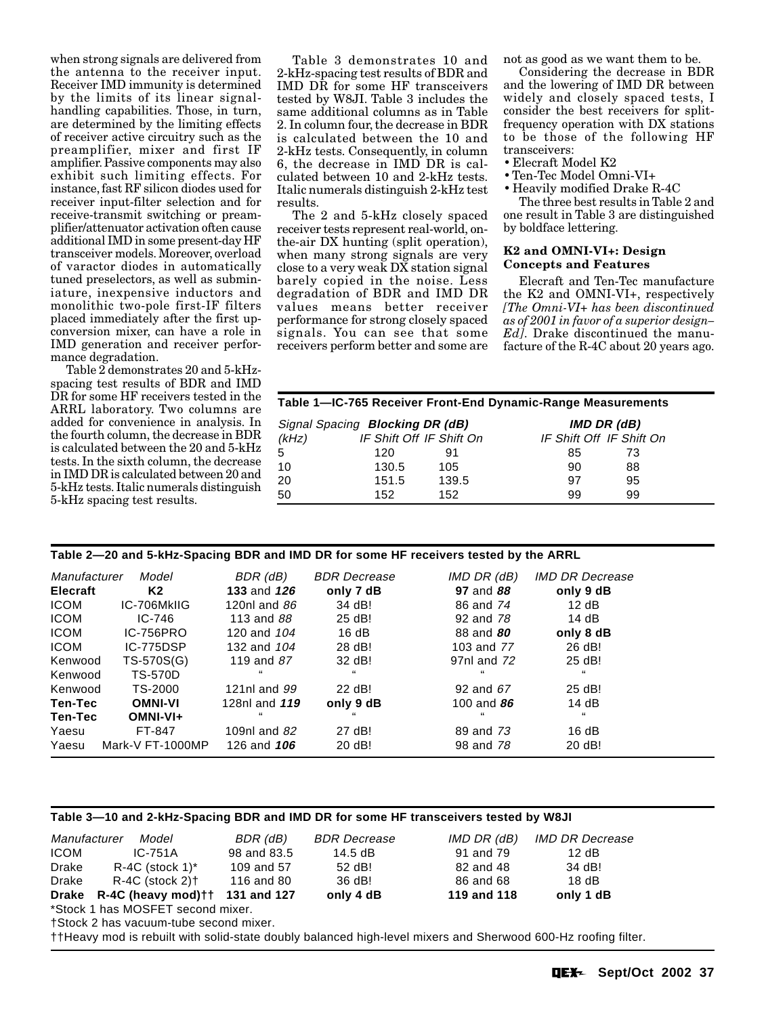when strong signals are delivered from the antenna to the receiver input. Receiver IMD immunity is determined by the limits of its linear signalhandling capabilities. Those, in turn, are determined by the limiting effects of receiver active circuitry such as the preamplifier, mixer and first IF amplifier. Passive components may also exhibit such limiting effects. For instance, fast RF silicon diodes used for receiver input-filter selection and for receive-transmit switching or preamplifier/attenuator activation often cause additional IMD in some present-day HF transceiver models. Moreover, overload of varactor diodes in automatically tuned preselectors, as well as subminiature, inexpensive inductors and monolithic two-pole first-IF filters placed immediately after the first upconversion mixer, can have a role in IMD generation and receiver performance degradation.

Table 2 demonstrates 20 and 5-kHzspacing test results of BDR and IMD DR for some HF receivers tested in the ARRL laboratory. Two columns are added for convenience in analysis. In the fourth column, the decrease in BDR is calculated between the 20 and 5-kHz tests. In the sixth column, the decrease in IMD DR is calculated between 20 and 5-kHz tests. Italic numerals distinguish 5-kHz spacing test results.

Table 3 demonstrates 10 and 2-kHz-spacing test results of BDR and IMD DR for some HF transceivers tested by W8JI. Table 3 includes the same additional columns as in Table 2. In column four, the decrease in BDR is calculated between the 10 and 2-kHz tests. Consequently, in column 6, the decrease in IMD DR is calculated between 10 and 2-kHz tests. Italic numerals distinguish 2-kHz test results.

The 2 and 5-kHz closely spaced receiver tests represent real-world, onthe-air DX hunting (split operation), when many strong signals are very close to a very weak DX station signal barely copied in the noise. Less degradation of BDR and IMD DR values means better receiver performance for strong closely spaced signals. You can see that some receivers perform better and some are not as good as we want them to be.

Considering the decrease in BDR and the lowering of IMD DR between widely and closely spaced tests, I consider the best receivers for splitfrequency operation with DX stations to be those of the following HF transceivers:

- Elecraft Model K2
- Ten-Tec Model Omni-VI+
- Heavily modified Drake R-4C

The three best results in Table 2 and one result in Table 3 are distinguished by boldface lettering.

## **K2 and OMNI-VI+: Design Concepts and Features**

Elecraft and Ten-Tec manufacture the K2 and OMNI-VI+, respectively *[The Omni-VI+ has been discontinued as of 2001 in favor of a superior design– Ed]*. Drake discontinued the manufacture of the R-4C about 20 years ago.

|       | Signal Spacing Blocking DR (dB) |       | IMD DR (dB)              |    |  |
|-------|---------------------------------|-------|--------------------------|----|--|
| (kHz) | IF Shift Off IF Shift On        |       | IF Shift Off IF Shift On |    |  |
| 5     | 120                             | 91    | 85                       | 73 |  |
| 10    | 130.5                           | 105   | 90                       | 88 |  |
| 20    | 151.5                           | 139.5 | 97                       | 95 |  |
| 50    | 152                             | 152   | 99                       | 99 |  |

**Table 2—20 and 5-kHz-Spacing BDR and IMD DR for some HF receivers tested by the ARRL**

| Manufacturer    | Model            | BDR (dB)           | <b>BDR</b> Decrease | IMD DR (dB)       | <b>IMD DR Decrease</b> |
|-----------------|------------------|--------------------|---------------------|-------------------|------------------------|
| <b>Elecraft</b> | K2               | 133 and 126        | only 7 dB           | 97 and 88         | only 9 dB              |
| <b>ICOM</b>     | IC-706MkIIG      | 120 $n$ l and $86$ | 34 dB!              | 86 and 74         | 12 dB                  |
| <b>ICOM</b>     | $IC-746$         | 113 and 88         | 25 dB!              | 92 and 78         | 14 dB                  |
| <b>ICOM</b>     | IC-756PRO        | 120 and 104        | 16 dB               | 88 and 80         | only 8 dB              |
| <b>ICOM</b>     | IC-775DSP        | 132 and 104        | 28 dB!              | 103 and 77        | 26 dB!                 |
| Kenwood         | TS-570S(G)       | 119 and 87         | 32 dB!              | 97nl and 72       | 25 dB!                 |
| Kenwood         | <b>TS-570D</b>   | $^{16}$            | 66                  | 66                | 66                     |
| Kenwood         | TS-2000          | 121nl and 99       | 22 dB!              | 92 and $67$       | 25 dB!                 |
| Ten-Tec         | <b>OMNI-VI</b>   | 128nl and 119      | only 9 dB           | 100 and <b>86</b> | 14 dB                  |
| Ten-Tec         | OMNI-VI+         | $^{16}$            | 66                  | 66                | 66                     |
| Yaesu           | FT-847           | 109nl and $82$     | 27 dB!              | 89 and 73         | 16dB                   |
| Yaesu           | Mark-V FT-1000MP | 126 and 106        | 20 dB!              | 98 and 78         | 20 dB!                 |

# **Table 3—10 and 2-kHz-Spacing BDR and IMD DR for some HF transceivers tested by W8JI**

| Manufacturer | Model                              | BDR (dB)    | <b>BDR</b> Decrease | IMD DR (dB) | IMD DR Decrease |
|--------------|------------------------------------|-------------|---------------------|-------------|-----------------|
| <b>ICOM</b>  | $IC-751A$                          | 98 and 83.5 | $14.5 \text{ dB}$   | 91 and 79   | 12 dB           |
| Drake        | $R-4C$ (stock 1) <sup>*</sup>      | 109 and 57  | 52 dB!              | 82 and 48   | 34 dB!          |
| Drake        | R-4C (stock 2)†                    | 116 and 80  | 36 dB!              | 86 and 68   | 18dB            |
| <b>Drake</b> | $R-4C$ (heavy mod) $H$ 131 and 127 |             | only 4 dB           | 119 and 118 | only 1 dB       |
|              | *Stock 1 has MOSFET second mixer.  |             |                     |             |                 |

†Stock 2 has vacuum-tube second mixer.

††Heavy mod is rebuilt with solid-state doubly balanced high-level mixers and Sherwood 600-Hz roofing filter.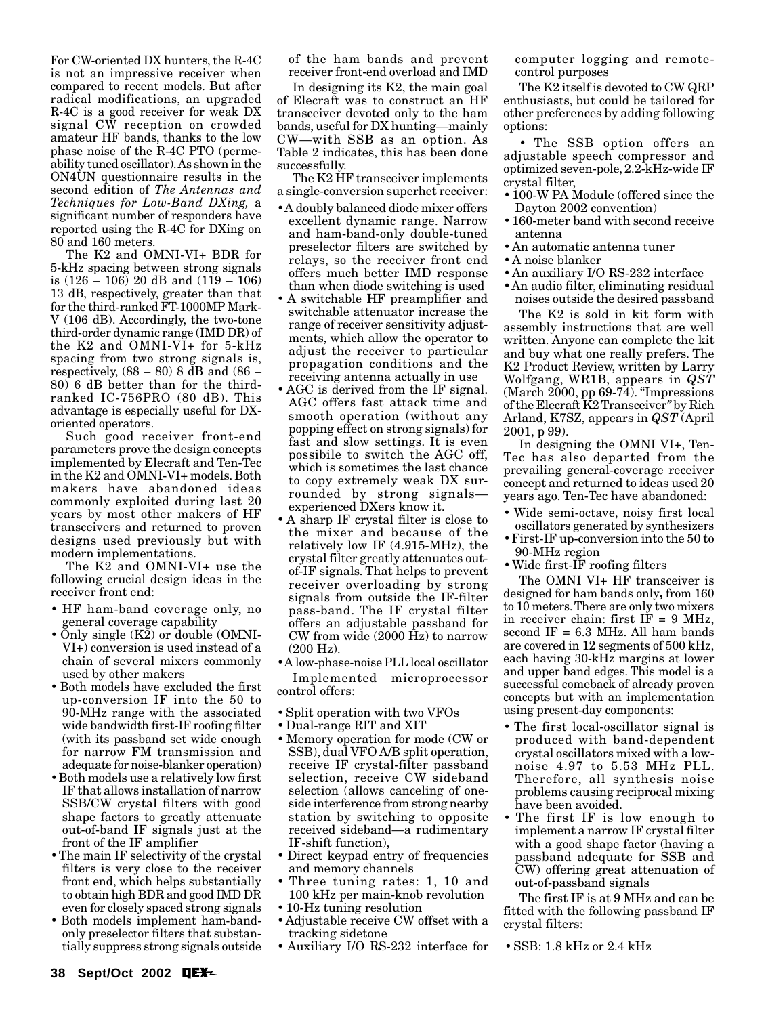For CW-oriented DX hunters, the R-4C is not an impressive receiver when compared to recent models. But after radical modifications, an upgraded R-4C is a good receiver for weak DX signal CW reception on crowded amateur HF bands, thanks to the low phase noise of the R-4C PTO (permeability tuned oscillator). As shown in the ON4UN questionnaire results in the second edition of *The Antennas and Techniques for Low-Band DXing,* a significant number of responders have reported using the R-4C for DXing on 80 and 160 meters.

The K2 and OMNI-VI+ BDR for 5-kHz spacing between strong signals is (126 – 106) 20 dB and (119 – 106) 13 dB, respectively, greater than that for the third-ranked FT-1000MP Mark-V (106 dB). Accordingly, the two-tone third-order dynamic range (IMD DR) of the K2 and OMNI-VI+ for 5-kHz spacing from two strong signals is, respectively,  $(88 - 80)$  8 dB and  $(86 -$ 80) 6 dB better than for the thirdranked IC-756PRO (80 dB). This advantage is especially useful for DXoriented operators.

Such good receiver front-end parameters prove the design concepts implemented by Elecraft and Ten-Tec in the K2 and OMNI-VI+ models. Both makers have abandoned ideas commonly exploited during last 20 years by most other makers of HF transceivers and returned to proven designs used previously but with modern implementations.

The K2 and OMNI-VI+ use the following crucial design ideas in the receiver front end:

- HF ham-band coverage only, no general coverage capability
- Only single (K2) or double (OMNI-VI+) conversion is used instead of a chain of several mixers commonly used by other makers
- Both models have excluded the first up-conversion IF into the 50 to 90-MHz range with the associated wide bandwidth first-IF roofing filter (with its passband set wide enough for narrow FM transmission and adequate for noise-blanker operation)
- Both models use a relatively low first IF that allows installation of narrow SSB/CW crystal filters with good shape factors to greatly attenuate out-of-band IF signals just at the front of the IF amplifier
- The main IF selectivity of the crystal filters is very close to the receiver front end, which helps substantially to obtain high BDR and good IMD DR even for closely spaced strong signals
- Both models implement ham-bandonly preselector filters that substantially suppress strong signals outside

of the ham bands and prevent receiver front-end overload and IMD

In designing its K2, the main goal of Elecraft was to construct an HF transceiver devoted only to the ham bands, useful for DX hunting—mainly CW—with SSB as an option. As Table 2 indicates, this has been done successfully.

The K2 HF transceiver implements a single-conversion superhet receiver:

- A doubly balanced diode mixer offers excellent dynamic range. Narrow and ham-band-only double-tuned preselector filters are switched by relays, so the receiver front end offers much better IMD response than when diode switching is used
- A switchable HF preamplifier and switchable attenuator increase the range of receiver sensitivity adjustments, which allow the operator to adjust the receiver to particular propagation conditions and the receiving antenna actually in use
- AGC is derived from the IF signal. AGC offers fast attack time and smooth operation (without any popping effect on strong signals) for fast and slow settings. It is even possibile to switch the AGC off, which is sometimes the last chance to copy extremely weak DX surrounded by strong signals experienced DXers know it.
- A sharp IF crystal filter is close to the mixer and because of the relatively low IF (4.915-MHz), the crystal filter greatly attenuates outof-IF signals. That helps to prevent receiver overloading by strong signals from outside the IF-filter pass-band. The IF crystal filter offers an adjustable passband for CW from wide (2000 Hz) to narrow (200 Hz).
- A low-phase-noise PLL local oscillator Implemented microprocessor control offers:
- Split operation with two VFOs
- Dual-range RIT and XIT
- Memory operation for mode (CW or SSB), dual VFO A/B split operation, receive IF crystal-filter passband selection, receive CW sideband selection (allows canceling of oneside interference from strong nearby station by switching to opposite received sideband—a rudimentary IF-shift function),
- Direct keypad entry of frequencies and memory channels
- Three tuning rates: 1, 10 and 100 kHz per main-knob revolution
- 10-Hz tuning resolution
- Adjustable receive CW offset with a tracking sidetone
- Auxiliary I/O RS-232 interface for SSB: 1.8 kHz or 2.4 kHz

computer logging and remotecontrol purposes

The K2 itself is devoted to CW QRP enthusiasts, but could be tailored for other preferences by adding following options:

• The SSB option offers an adjustable speech compressor and optimized seven-pole, 2.2-kHz-wide IF crystal filter,

- 100-W PA Module (offered since the Dayton 2002 convention)
- 160-meter band with second receive antenna
- An automatic antenna tuner
- A noise blanker
- An auxiliary I/O RS-232 interface
- An audio filter, eliminating residual noises outside the desired passband

The K2 is sold in kit form with assembly instructions that are well written. Anyone can complete the kit and buy what one really prefers. The K2 Product Review, written by Larry Wolfgang, WR1B, appears in *QST* (March 2000, pp 69-74). "Impressions of the Elecraft K2 Transceiver*"* by Rich Arland, K7SZ, appears in *QST* (April 2001, p 99).

In designing the OMNI VI+, Ten-Tec has also departed from the prevailing general-coverage receiver concept and returned to ideas used 20 years ago. Ten-Tec have abandoned:

- Wide semi-octave, noisy first local oscillators generated by synthesizers
- First-IF up-conversion into the 50 to 90-MHz region
- Wide first-IF roofing filters

The OMNI VI+ HF transceiver is designed for ham bands only**,** from 160 to 10 meters. There are only two mixers in receiver chain: first  $IF = 9 MHz$ , second IF = 6.3 MHz. All ham bands are covered in 12 segments of 500 kHz, each having 30-kHz margins at lower and upper band edges. This model is a successful comeback of already proven concepts but with an implementation using present-day components:

- The first local-oscillator signal is produced with band-dependent crystal oscillators mixed with a lownoise 4.97 to 5.53 MHz PLL. Therefore, all synthesis noise problems causing reciprocal mixing have been avoided.
- The first IF is low enough to implement a narrow IF crystal filter with a good shape factor (having a passband adequate for SSB and CW) offering great attenuation of out-of-passband signals

The first IF is at 9 MHz and can be fitted with the following passband IF crystal filters: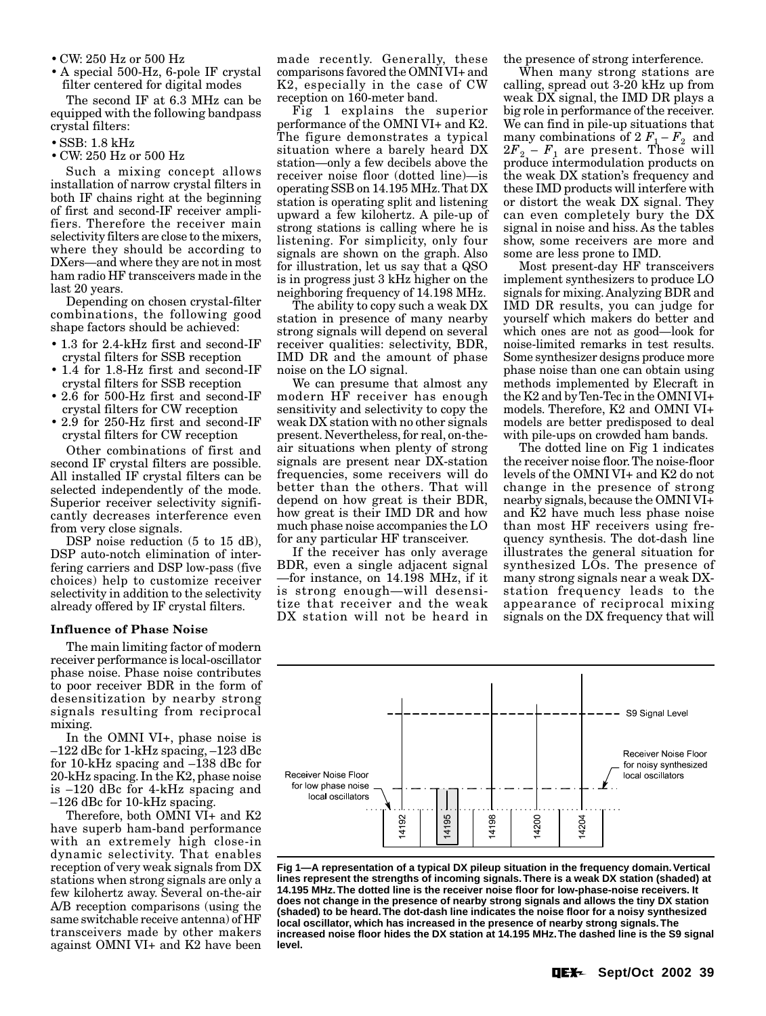• CW: 250 Hz or 500 Hz

• A special 500-Hz, 6-pole IF crystal filter centered for digital modes

The second IF at 6.3 MHz can be equipped with the following bandpass crystal filters:

- SSB: 1.8 kHz
- CW: 250 Hz or 500 Hz

Such a mixing concept allows installation of narrow crystal filters in both IF chains right at the beginning of first and second-IF receiver amplifiers. Therefore the receiver main selectivity filters are close to the mixers, where they should be according to DXers—and where they are not in most ham radio HF transceivers made in the last 20 years.

Depending on chosen crystal-filter combinations, the following good shape factors should be achieved:

- 1.3 for 2.4-kHz first and second-IF crystal filters for SSB reception
- 1.4 for 1.8-Hz first and second-IF crystal filters for SSB reception
- 2.6 for 500-Hz first and second-IF crystal filters for CW reception
- 2.9 for 250-Hz first and second-IF crystal filters for CW reception

Other combinations of first and second IF crystal filters are possible. All installed IF crystal filters can be selected independently of the mode. Superior receiver selectivity significantly decreases interference even from very close signals.

DSP noise reduction (5 to 15 dB), DSP auto-notch elimination of interfering carriers and DSP low-pass (five choices) help to customize receiver selectivity in addition to the selectivity already offered by IF crystal filters.

#### **Influence of Phase Noise**

The main limiting factor of modern receiver performance is local-oscillator phase noise. Phase noise contributes to poor receiver BDR in the form of desensitization by nearby strong signals resulting from reciprocal mixing.

In the OMNI VI+, phase noise is –122 dBc for 1-kHz spacing, –123 dBc for 10-kHz spacing and –138 dBc for 20-kHz spacing. In the K2, phase noise is –120 dBc for 4-kHz spacing and –126 dBc for 10-kHz spacing.

Therefore, both OMNI VI+ and K2 have superb ham-band performance with an extremely high close-in dynamic selectivity. That enables reception of very weak signals from DX stations when strong signals are only a few kilohertz away. Several on-the-air A/B reception comparisons (using the same switchable receive antenna) of HF transceivers made by other makers against OMNI VI+ and K2 have been

made recently. Generally, these comparisons favored the OMNI VI+ and K2, especially in the case of CW reception on 160-meter band.

Fig 1 explains the superior performance of the OMNI VI+ and K2. The figure demonstrates a typical situation where a barely heard DX station—only a few decibels above the receiver noise floor (dotted line)—is operating SSB on 14.195 MHz. That DX station is operating split and listening upward a few kilohertz. A pile-up of strong stations is calling where he is listening. For simplicity, only four signals are shown on the graph. Also for illustration, let us say that a QSO is in progress just 3 kHz higher on the neighboring frequency of 14.198 MHz.

The ability to copy such a weak DX station in presence of many nearby strong signals will depend on several receiver qualities: selectivity, BDR, IMD DR and the amount of phase noise on the LO signal.

We can presume that almost any modern HF receiver has enough sensitivity and selectivity to copy the weak DX station with no other signals present. Nevertheless, for real, on-theair situations when plenty of strong signals are present near DX-station frequencies, some receivers will do better than the others. That will depend on how great is their BDR, how great is their IMD DR and how much phase noise accompanies the LO for any particular HF transceiver.

If the receiver has only average BDR, even a single adjacent signal —for instance, on 14.198 MHz, if it is strong enough—will desensitize that receiver and the weak DX station will not be heard in the presence of strong interference.

When many strong stations are calling, spread out 3-20 kHz up from weak DX signal, the IMD DR plays a big role in performance of the receiver. We can find in pile-up situations that many combinations of  $2 F_1 - F_2$  and  $2F_2 - F_1$  are present. Those will produce intermodulation products on the weak DX station's frequency and these IMD products will interfere with or distort the weak DX signal. They can even completely bury the DX signal in noise and hiss. As the tables show, some receivers are more and some are less prone to IMD.

Most present-day HF transceivers implement synthesizers to produce LO signals for mixing. Analyzing BDR and IMD DR results, you can judge for yourself which makers do better and which ones are not as good—look for noise-limited remarks in test results. Some synthesizer designs produce more phase noise than one can obtain using methods implemented by Elecraft in the K2 and by Ten-Tec in the OMNI VI+ models. Therefore, K2 and OMNI VI+ models are better predisposed to deal with pile-ups on crowded ham bands.

The dotted line on Fig 1 indicates the receiver noise floor. The noise-floor levels of the OMNI VI+ and K2 do not change in the presence of strong nearby signals, because the OMNI VI+ and K2 have much less phase noise than most HF receivers using frequency synthesis. The dot-dash line illustrates the general situation for synthesized LOs. The presence of many strong signals near a weak DXstation frequency leads to the appearance of reciprocal mixing signals on the DX frequency that will



**Fig 1—A representation of a typical DX pileup situation in the frequency domain. Vertical lines represent the strengths of incoming signals. There is a weak DX station (shaded) at 14.195 MHz. The dotted line is the receiver noise floor for low-phase-noise receivers. It does not change in the presence of nearby strong signals and allows the tiny DX station (shaded) to be heard. The dot-dash line indicates the noise floor for a noisy synthesized local oscillator, which has increased in the presence of nearby strong signals. The increased noise floor hides the DX station at 14.195 MHz. The dashed line is the S9 signal level.**